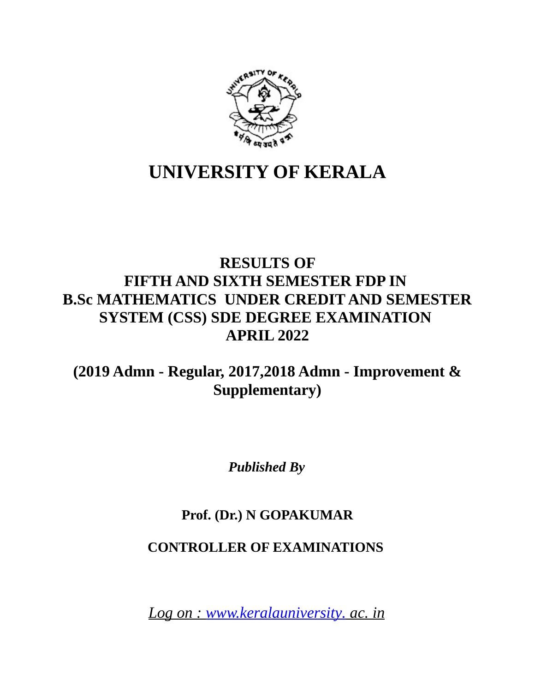

# **UNIVERSITY OF KERALA**

## **RESULTS OF FIFTH AND SIXTH SEMESTER FDP IN B.Sc MATHEMATICS UNDER CREDIT AND SEMESTER SYSTEM (CSS) SDE DEGREE EXAMINATION APRIL 2022**

## **(2019 Admn - Regular, 2017,2018 Admn - Improvement & Supplementary)**

*Published By*

## **Prof. (Dr.) N GOPAKUMAR**

## **CONTROLLER OF EXAMINATIONS**

 *Log on : [www.keralauniversity.](http://www.keralauniversity/) ac. in*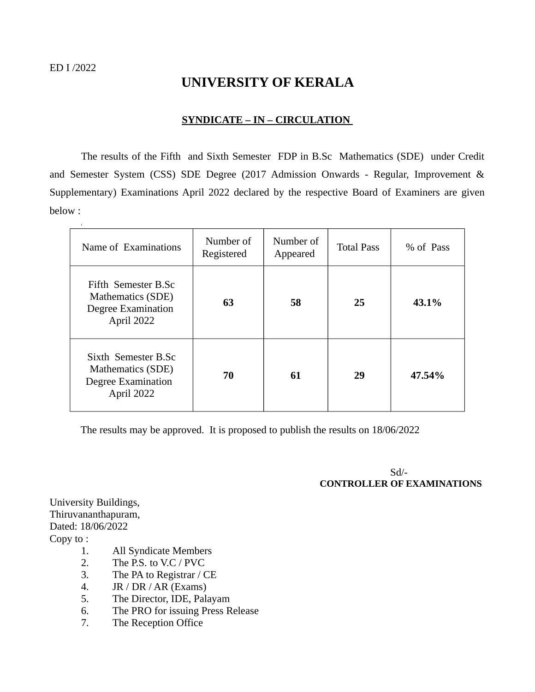r

## **UNIVERSITY OF KERALA**

#### **SYNDICATE – IN – CIRCULATION**

The results of the Fifth and Sixth Semester FDP in B.Sc Mathematics (SDE) under Credit and Semester System (CSS) SDE Degree (2017 Admission Onwards - Regular, Improvement & Supplementary) Examinations April 2022 declared by the respective Board of Examiners are given below :

| Name of Examinations                                                         | Number of<br>Registered | Number of<br>Appeared | <b>Total Pass</b> | % of Pass |
|------------------------------------------------------------------------------|-------------------------|-----------------------|-------------------|-----------|
| Fifth Semester B.Sc<br>Mathematics (SDE)<br>Degree Examination<br>April 2022 | 63                      | 58                    | 25                | 43.1%     |
| Sixth Semester B.Sc<br>Mathematics (SDE)<br>Degree Examination<br>April 2022 | 70                      | 61                    | 29                | 47.54%    |

The results may be approved. It is proposed to publish the results on 18/06/2022

 Sd/-  **CONTROLLER OF EXAMINATIONS** 

University Buildings, Thiruvananthapuram, Dated: 18/06/2022 Copy to :

- 1. All Syndicate Members
- 2. The P.S. to V.C / PVC
- 3. The PA to Registrar / CE
- 4. JR / DR / AR (Exams)
- 5. The Director, IDE, Palayam
- 6. The PRO for issuing Press Release
- 7. The Reception Office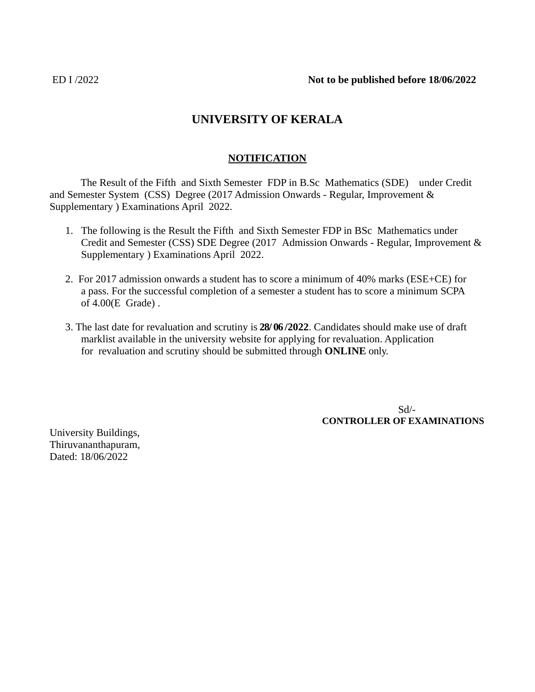## **UNIVERSITY OF KERALA**

## **NOTIFICATION**

The Result of the Fifth and Sixth Semester FDP in B.Sc Mathematics (SDE) under Credit and Semester System (CSS) Degree (2017 Admission Onwards - Regular, Improvement & Supplementary ) Examinations April 2022.

- 1. The following is the Result the Fifth and Sixth Semester FDP in BSc Mathematics under Credit and Semester (CSS) SDE Degree (2017 Admission Onwards - Regular, Improvement & Supplementary ) Examinations April 2022.
- 2. For 2017 admission onwards a student has to score a minimum of 40% marks (ESE+CE) for a pass. For the successful completion of a semester a student has to score a minimum SCPA of 4.00(E Grade) .
- 3. The last date for revaluation and scrutiny is **28/ 06 /2022**. Candidates should make use of draft marklist available in the university website for applying for revaluation. Application for revaluation and scrutiny should be submitted through **ONLINE** only.

 Sd/-  **CONTROLLER OF EXAMINATIONS**

University Buildings, Thiruvananthapuram, Dated: 18/06/2022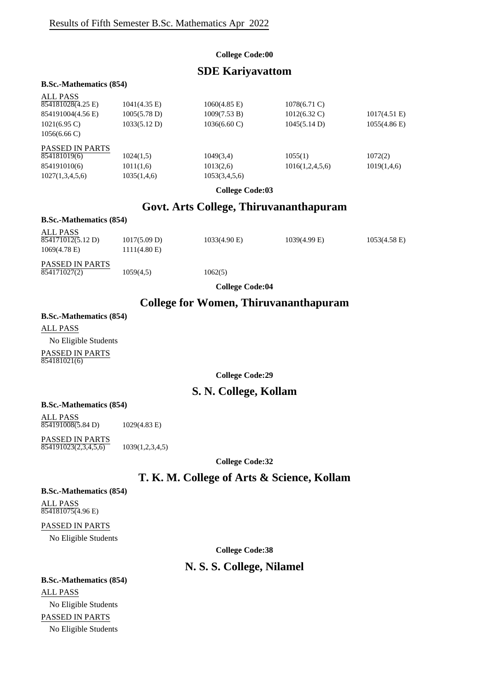#### **College Code:00**

## **SDE Kariyavattom**

#### **B.Sc.-Mathematics (854)**

| <b>ALL PASS</b><br>854181028(4.25 E)<br>854191004(4.56 E)<br>$1021(6.95 \text{ C})$<br>$1056(6.66 \text{ C})$ | $1041(4.35)$ E)<br>1005(5.78 D)<br>1033(5.12 D) | $1060(4.85)$ E)<br>1009(7.53 B)<br>$1036(6.60 \text{ C})$ | 1078(6.71 C)<br>$1012(6.32)$ C)<br>1045(5.14 D) | $1017(4.51)$ E)<br>1055(4.86) |
|---------------------------------------------------------------------------------------------------------------|-------------------------------------------------|-----------------------------------------------------------|-------------------------------------------------|-------------------------------|
| <b>PASSED IN PARTS</b><br>854181019(6)<br>854191010(6)<br>1027(1,3,4,5,6)                                     | 1024(1,5)<br>1011(1,6)<br>1035(1,4,6)           | 1049(3,4)<br>1013(2,6)<br>1053(3,4,5,6)                   | 1055(1)<br>1016(1,2,4,5,6)                      | 1072(2)<br>1019(1,4,6)        |

**College Code:03**

## **Govt. Arts College, Thiruvananthapuram**

#### **B.Sc.-Mathematics (854)**

| ALL PASS<br>854171012(5.12 D)<br>$1069(4.78)$ E) | 1017(5.09 D)<br>$1111(4.80)$ E) | $1033(4.90)$ E) | $1039(4.99)$ E) | $1053(4.58)$ E) |
|--------------------------------------------------|---------------------------------|-----------------|-----------------|-----------------|
| <b>PASSED IN PARTS</b>                           |                                 |                 |                 |                 |

**College Code:04**

#### **College for Women, Thiruvananthapuram**

## **B.Sc.-Mathematics (854)** ALL PASS No Eligible Students

 $\overline{854171027(2)}$  1059(4,5) 1062(5)

PASSED IN PARTS 854181021(6)

**College Code:29**

#### **S. N. College, Kollam**

#### **B.Sc.-Mathematics (854)**

ALL PASS 854191008(5.84 D) 1029(4.83 E)

PASSED IN PARTS  $\overline{854191023(2,3,4,5,6)}$  1039(1,2,3,4,5)

**College Code:32**

## **T. K. M. College of Arts & Science, Kollam**

#### **B.Sc.-Mathematics (854)**

ALL PASS 854181075(4.96 E)

#### PASSED IN PARTS

No Eligible Students

**College Code:38**

## **N. S. S. College, Nilamel**

## **B.Sc.-Mathematics (854)** ALL PASS No Eligible Students PASSED IN PARTS No Eligible Students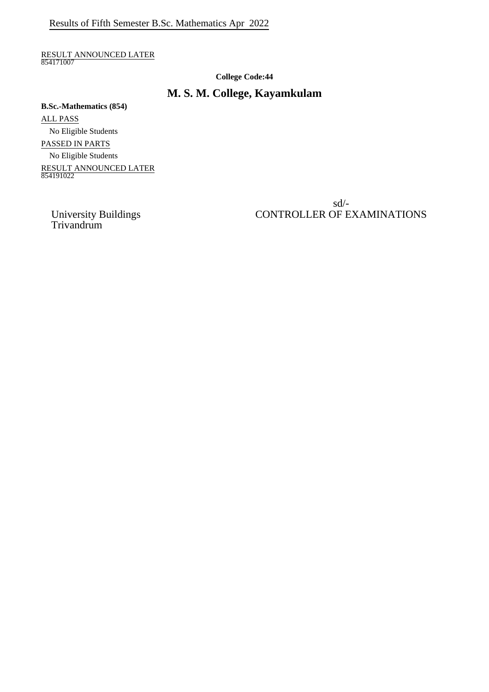RESULT ANNOUNCED LATER 854171007

**College Code:44**

## **M. S. M. College, Kayamkulam**

**B.Sc.-Mathematics (854)** ALL PASS No Eligible Students PASSED IN PARTS No Eligible Students RESULT ANNOUNCED LATER 854191022

> sd/- CONTROLLER OF EXAMINATIONS

University Buildings<br>Trivandrum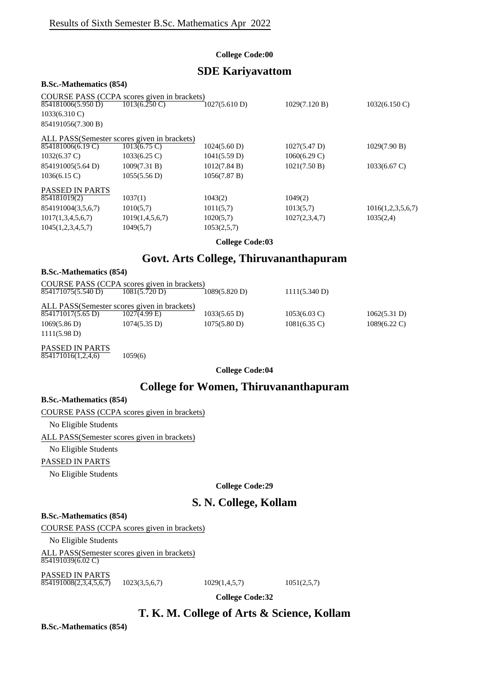#### **College Code:00**

## **SDE Kariyavattom**

#### **B.Sc.-Mathematics (854)**

|                         | COURSE PASS (CCPA scores given in brackets) |               |                        |                         |
|-------------------------|---------------------------------------------|---------------|------------------------|-------------------------|
| 854181006(5.950 D)      | $1013(6.250 \text{ C})$                     | 1027(5.610 D) | 1029(7.120 B)          | $1032(6.150 \text{ C})$ |
| $1033(6.310 \text{ C})$ |                                             |               |                        |                         |
| 854191056(7.300 B)      |                                             |               |                        |                         |
|                         | ALL PASS(Semester scores given in brackets) |               |                        |                         |
| 854181006(6.19 C)       | $1013(6.75 \text{ C})$                      | 1024(5.60 D)  | $1027(5.47 \text{ D})$ | 1029(7.90 B)            |
| $1032(6.37 \text{ C})$  | $1033(6.25 \text{ C})$                      | 1041(5.59 D)  | $1060(6.29 \text{ C})$ |                         |
| 854191005(5.64 D)       | 1009(7.31 B)                                | 1012(7.84 B)  | 1021(7.50 B)           | $1033(6.67 \text{ C})$  |
| $1036(6.15)$ C)         | 1055(5.56 D)                                | 1056(7.87 B)  |                        |                         |
| <b>PASSED IN PARTS</b>  |                                             |               |                        |                         |
| 854181019(2)            | 1037(1)                                     | 1043(2)       | 1049(2)                |                         |
| 854191004(3,5,6,7)      | 1010(5,7)                                   | 1011(5,7)     | 1013(5,7)              | 1016(1,2,3,5,6,7)       |
| 1017(1,3,4,5,6,7)       | 1019(1,4,5,6,7)                             | 1020(5,7)     | 1027(2,3,4,7)          | 1035(2,4)               |
| 1045(1,2,3,4,5,7)       | 1049(5,7)                                   | 1053(2,5,7)   |                        |                         |
|                         |                                             |               |                        |                         |

#### **College Code:03**

## **Govt. Arts College, Thiruvananthapuram**

| <b>B.Sc.-Mathematics (854)</b> |                                                                |                        |                        |                        |
|--------------------------------|----------------------------------------------------------------|------------------------|------------------------|------------------------|
| 854171075(5.540 D)             | COURSE PASS (CCPA scores given in brackets)<br>1081(5.720 D)   | 1089(5.820 D)          | 1111(5.340 D)          |                        |
| 854171017(5.65 D)              | ALL PASS(Semester scores given in brackets)<br>$1027(4.99)$ E) | $1033(5.65 \text{ D})$ | $1053(6.03 \text{ C})$ | 1062(5.31 D)           |
| 1069(5.86 D)<br>1111(5.98 D)   | $1074(5.35 \text{ D})$                                         | 1075(5.80 D)           | $1081(6.35 \text{ C})$ | $1089(6.22 \text{ C})$ |

PASSED IN PARTS  $\frac{854171016(1,2,4,6)}{854171016(1,2,4,6)}$  1059(6)

**College Code:04**

## **College for Women, Thiruvananthapuram**

#### **B.Sc.-Mathematics (854)**

#### COURSE PASS (CCPA scores given in brackets)

No Eligible Students

ALL PASS(Semester scores given in brackets)

No Eligible Students

#### PASSED IN PARTS

No Eligible Students

**College Code:29**

## **S. N. College, Kollam**

#### **B.Sc.-Mathematics (854)**

COURSE PASS (CCPA scores given in brackets)

No Eligible Students

ALL PASS(Semester scores given in brackets)  $854191039(6.02 \text{ C})$ 

PASSED IN PARTS  $\overline{854191008(2,3,4,5,6,7)}$  1023(3,5,6,7) 1029(1,4,5,7) 1051(2,5,7)

**College Code:32**

## **T. K. M. College of Arts & Science, Kollam**

**B.Sc.-Mathematics (854)**